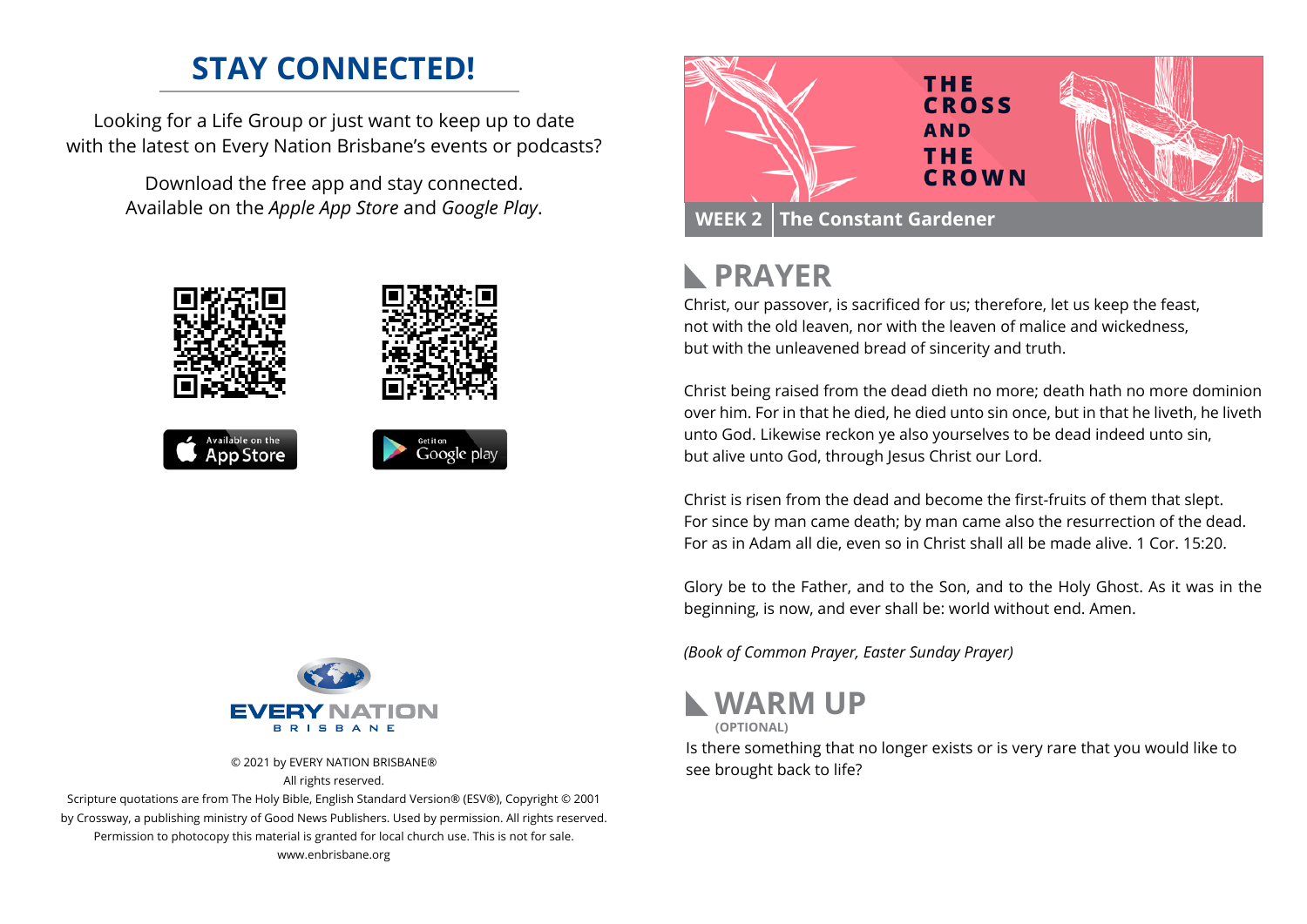## **STAY CONNECTED!**

Looking for a Life Group or just want to keep up to date with the latest on Every Nation Brisbane's events or podcasts?

> Download the free app and stay connected. Available on the *Apple App Store* and *Google Play*.





© 2021 by EVERY NATION BRISBANE® All rights reserved.

Scripture quotations are from The Holy Bible, English Standard Version® (ESV®), Copyright © 2001 by Crossway, a publishing ministry of Good News Publishers. Used by permission. All rights reserved. Permission to photocopy this material is granted for local church use. This is not for sale. www.enbrisbane.org



### **PRAYER**  $\mathbb{R}$

Christ, our passover, is sacrificed for us; therefore, let us keep the feast, not with the old leaven, nor with the leaven of malice and wickedness, but with the unleavened bread of sincerity and truth.

Christ being raised from the dead dieth no more; death hath no more dominion over him. For in that he died, he died unto sin once, but in that he liveth, he liveth unto God. Likewise reckon ye also yourselves to be dead indeed unto sin, but alive unto God, through Jesus Christ our Lord.

Christ is risen from the dead and become the first-fruits of them that slept. For since by man came death; by man came also the resurrection of the dead. For as in Adam all die, even so in Christ shall all be made alive. 1 Cor. 15:20.

Glory be to the Father, and to the Son, and to the Holy Ghost. As it was in the beginning, is now, and ever shall be: world without end. Amen.

*(Book of Common Prayer, Easter Sunday Prayer)*



Is there something that no longer exists or is very rare that you would like to see brought back to life?